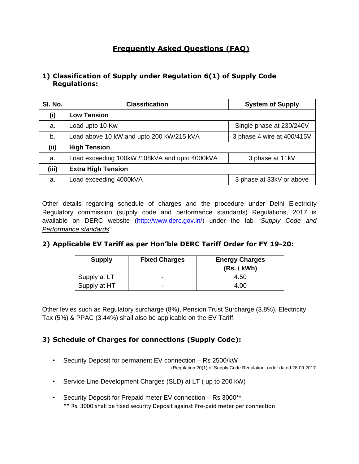# **Frequently Asked Questions (FAQ)**

## **1) Classification of Supply under Regulation 6(1) of Supply Code Regulations:**

| SI. No. | <b>Classification</b>                         | <b>System of Supply</b>    |  |  |
|---------|-----------------------------------------------|----------------------------|--|--|
| (i)     | <b>Low Tension</b>                            |                            |  |  |
| a.      | Load upto 10 Kw                               | Single phase at 230/240V   |  |  |
| b.      | Load above 10 kW and upto 200 kW/215 kVA      | 3 phase 4 wire at 400/415V |  |  |
| (ii)    | <b>High Tension</b>                           |                            |  |  |
| a.      | Load exceeding 100kW /108kVA and upto 4000kVA | 3 phase at 11kV            |  |  |
| (iii)   | <b>Extra High Tension</b>                     |                            |  |  |
| a.      | Load exceeding 4000kVA                        | 3 phase at 33kV or above   |  |  |

Other details regarding schedule of charges and the procedure under Delhi Electricity Regulatory commission (supply code and performance standards) Regulations, 2017 is available on DERC website [\(http://www.derc.gov.in/\)](http://www.derc.gov.in/) under the tab "*Supply Code and Performance standards*"

## **2) Applicable EV Tariff as per Hon'ble DERC Tariff Order for FY 19-20:**

| <b>Supply</b> | <b>Fixed Charges</b> | <b>Energy Charges</b><br>(Rs. / kWh) |  |  |
|---------------|----------------------|--------------------------------------|--|--|
| Supply at LT  |                      | 4.50                                 |  |  |
| Supply at HT  |                      | 4.00                                 |  |  |

Other levies such as Regulatory surcharge (8%), Pension Trust Surcharge (3.8%), Electricity Tax (5%) & PPAC (3.44%) shall also be applicable on the EV Tariff.

## **3) Schedule of Charges for connections (Supply Code):**

• Security Deposit for permanent EV connection – Rs 2500/kW

(Regulation 20(1) of Supply Code Regulation, order dated 28.09.2017

- Service Line Development Charges (SLD) at LT ( up to 200 kW)
- Security Deposit for Prepaid meter EV connection Rs 3000\*\* **\*\*** Rs. 3000 shall be fixed security Deposit against Pre-paid meter per connection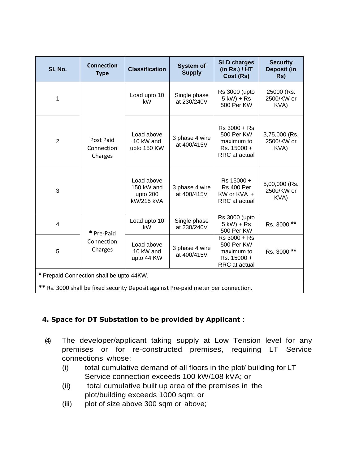| SI. No.                                                                            | <b>Connection</b><br><b>Type</b>   | <b>Classification</b>                                     | <b>System of</b><br><b>Supply</b> | <b>SLD charges</b><br>(in Rs.) / HT<br>Cost (Rs)                         | <b>Security</b><br><b>Deposit (in</b><br>Rs) |  |
|------------------------------------------------------------------------------------|------------------------------------|-----------------------------------------------------------|-----------------------------------|--------------------------------------------------------------------------|----------------------------------------------|--|
| 1                                                                                  |                                    | Load upto 10<br>kW                                        | Single phase<br>at 230/240V       | <b>Rs 3000 (upto)</b><br>$5$ kW) + Rs<br>500 Per KW                      | 25000 (Rs.<br>2500/KW or<br>KVA)             |  |
| $\overline{2}$                                                                     | Post Paid<br>Connection<br>Charges | Load above<br>10 kW and<br>upto 150 KW                    | 3 phase 4 wire<br>at 400/415V     | Rs 3000 + Rs<br>500 Per KW<br>maximum to<br>Rs. 15000 +<br>RRC at actual | 3,75,000 (Rs.<br>2500/KW or<br>KVA)          |  |
| 3                                                                                  |                                    | Load above<br>150 kW and<br>upto 200<br><b>kW/215 kVA</b> | 3 phase 4 wire<br>at 400/415V     | Rs 15000 +<br><b>Rs 400 Per</b><br>KW or KVA +<br>RRC at actual          | 5,00,000 (Rs.<br>2500/KW or<br>KVA)          |  |
| 4                                                                                  | * Pre-Paid                         | Load upto 10<br>kW                                        | Single phase<br>at 230/240V       | <b>Rs 3000 (upto</b><br>$5$ kW) + Rs<br>500 Per KW                       | Rs. 3000**                                   |  |
| 5                                                                                  | Connection<br>Charges              | Load above<br>10 kW and<br>upto 44 KW                     | 3 phase 4 wire<br>at 400/415V     | Rs 3000 + Rs<br>500 Per KW<br>maximum to<br>Rs. 15000 +<br>RRC at actual | Rs. 3000 **                                  |  |
| * Prepaid Connection shall be upto 44KW.                                           |                                    |                                                           |                                   |                                                                          |                                              |  |
| ** Rs. 3000 shall be fixed security Deposit against Pre-paid meter per connection. |                                    |                                                           |                                   |                                                                          |                                              |  |

## **4. Space for DT Substation to be provided by Applicant :**

- (4) The developer/applicant taking supply at Low Tension level for any premises or for re-constructed premises, requiring LT Service connections whose:
	- (i) total cumulative demand of all floors in the plot/ building for LT Service connection exceeds 100 kW/108 kVA; or
	- (ii) total cumulative built up area of the premises in the plot/building exceeds 1000 sqm; or
	- (iii) plot of size above 300 sqm or above;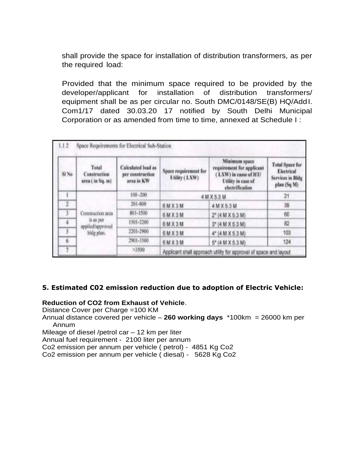shall provide the space for installation of distribution transformers, as per the required load:

Provided that the minimum space required to be provided by the developer/applicant for installation of distribution transformers/ equipment shall be as per circular no. South DMC/0148/SE(B) HQ/AddI. Com1/17 dated 30.03.20 17 notified by South Delhi Municipal Corporation or as amended from time to time, annexed at Schedule I :

| V<br>SI No              | Total<br>Construction<br>area (in Sq. m)                          | <b>Calculated</b> load as<br>per construction<br>area in KW | Minimum space<br>requirement for applicant<br>Space requirement for<br>LXW) in casse of HT/<br>Utility (LXW)<br>Utility in case of<br>electrification |                                                                   | <b>Total Space for</b><br>Electrical<br><b>Services in Bldg</b><br>plan (Sq M) |
|-------------------------|-------------------------------------------------------------------|-------------------------------------------------------------|-------------------------------------------------------------------------------------------------------------------------------------------------------|-------------------------------------------------------------------|--------------------------------------------------------------------------------|
|                         | Construction area<br>is as per<br>applied/approved.<br>bldg plan. | $100 - 200$                                                 | 4 M X 5 3 M                                                                                                                                           | 21                                                                |                                                                                |
| $\overline{\mathbf{2}}$ |                                                                   | 201-800                                                     | 6 M X 3 M                                                                                                                                             | 4 M X 5.3 M                                                       | 39                                                                             |
|                         |                                                                   | 801-1500                                                    | 6MX3M                                                                                                                                                 | 2* (4 M X 6.3 M)                                                  | 60                                                                             |
| 4                       |                                                                   | 1501-2200                                                   | 6 M X 3 M                                                                                                                                             | 3* (4 M X 5.3 M)                                                  | 82                                                                             |
|                         |                                                                   | 2201-2900                                                   | 6MX3M                                                                                                                                                 | $4^* (4 M X 5.3 M)$                                               | 103                                                                            |
| 6                       |                                                                   | 2901-3500                                                   | 6 M X 3 M                                                                                                                                             | $5^*$ (4 M X 5.3 M)                                               | 124                                                                            |
|                         |                                                                   | >3500                                                       |                                                                                                                                                       | Applicant shall approach utility for approval of space and layout |                                                                                |

#### **5. Estimated C02 emission reduction due to adoption of Electric Vehicle:**

#### **Reduction of CO2 from Exhaust of Vehicle**.

Distance Cover per Charge =100 KM

Annual distance covered per vehicle – **260 working days** \*100km = 26000 km per Annum

Mileage of diesel /petrol car – 12 km per liter

Annual fuel requirement - 2100 liter per annum

Co2 emission per annum per vehicle ( petrol) - 4851 Kg Co2

Co2 emission per annum per vehicle ( diesal) - 5628 Kg Co2